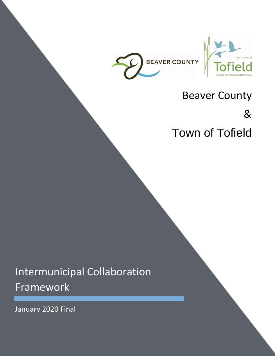



## Beaver County

&

Town of Tofield

Intermunicipal Collaboration

# Framework

January 2020 Final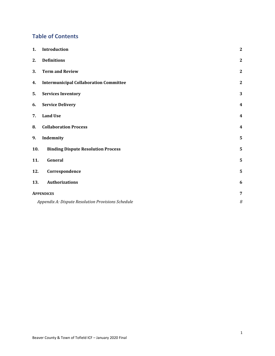### **Table of Contents**

| 1.  | Introduction                                       | $\boldsymbol{2}$        |
|-----|----------------------------------------------------|-------------------------|
| 2.  | <b>Definitions</b>                                 | $\overline{2}$          |
| 3.  | <b>Term and Review</b>                             | $\mathbf{2}$            |
| 4.  | <b>Intermunicipal Collaboration Committee</b>      | $\boldsymbol{2}$        |
| 5.  | <b>Services Inventory</b>                          | 3                       |
| 6.  | <b>Service Delivery</b>                            | $\boldsymbol{4}$        |
| 7.  | <b>Land Use</b>                                    | $\boldsymbol{4}$        |
| 8.  | <b>Collaboration Process</b>                       | $\overline{\mathbf{4}}$ |
| 9.  | Indemnity                                          | $\overline{\mathbf{5}}$ |
| 10. | <b>Binding Dispute Resolution Process</b>          | 5                       |
| 11. | General                                            | 5                       |
| 12. | Correspondence                                     | $\overline{\mathbf{5}}$ |
| 13. | <b>Authorizations</b>                              | 6                       |
|     | <b>APPENDICES</b>                                  |                         |
|     | Appendix A: Dispute Resolution Provisions Schedule | 8                       |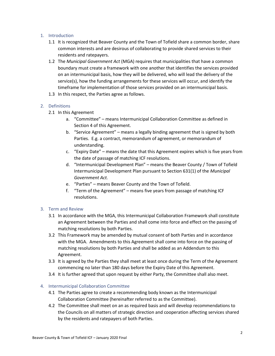#### <span id="page-2-0"></span>1. Introduction

- 1.1 It is recognized that Beaver County and the Town of Tofield share a common border, share common interests and are desirous of collaborating to provide shared services to their residents and ratepayers.
- 1.2 The *Municipal Government Act* (MGA) requires that municipalities that have a common boundary must create a framework with one another that identifies the services provided on an intermunicipal basis, how they will be delivered, who will lead the delivery of the service(s), how the funding arrangements for these services will occur, and identify the timeframe for implementation of those services provided on an intermunicipal basis.
- 1.3 In this respect, the Parties agree as follows.

#### <span id="page-2-1"></span>2. Definitions

- 2.1 In this Agreement
	- a. "Committee" means Intermunicipal Collaboration Committee as defined in Section 4 of this Agreement.
	- b. "Service Agreement" means a legally binding agreement that is signed by both Parties. E.g. a contract, memorandum of agreement, or memorandum of understanding.
	- c. "Expiry Date" means the date that this Agreement expires which is five years from the date of passage of matching ICF resolutions.
	- d. "Intermunicipal Development Plan" means the Beaver County / Town of Tofield Intermunicipal Development Plan pursuant to Section 631(1) of the *Municipal Government Act.*
	- e. "Parties" means Beaver County and the Town of Tofield.
	- f. "Term of the Agreement" means five years from passage of matching ICF resolutions.

#### <span id="page-2-2"></span>3. Term and Review

- 3.1 In accordance with the MGA, this Intermunicipal Collaboration Framework shall constitute an Agreement between the Parties and shall come into force and effect on the passing of matching resolutions by both Parties.
- 3.2 This Framework may be amended by mutual consent of both Parties and in accordance with the MGA. Amendments to this Agreement shall come into force on the passing of matching resolutions by both Parties and shall be added as an Addendum to this Agreement.
- 3.3 It is agreed by the Parties they shall meet at least once during the Term of the Agreement commencing no later than 180 days before the Expiry Date of this Agreement.
- 3.4 It is further agreed that upon request by either Party, the Committee shall also meet.

#### <span id="page-2-3"></span>4. Intermunicipal Collaboration Committee

- 4.1 The Parties agree to create a recommending body known as the Intermunicipal Collaboration Committee (hereinafter referred to as the Committee).
- 4.2 The Committee shall meet on an as required basis and will develop recommendations to the Councils on all matters of strategic direction and cooperation affecting services shared by the residents and ratepayers of both Parties.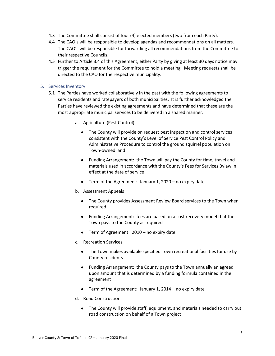- 4.3 The Committee shall consist of four (4) elected members (two from each Party).
- 4.4 The CAO's will be responsible to develop agendas and recommendations on all matters. The CAO's will be responsible for forwarding all recommendations from the Committee to their respective Councils.
- 4.5 Further to Article 3.4 of this Agreement, either Party by giving at least 30 days notice may trigger the requirement for the Committee to hold a meeting. Meeting requests shall be directed to the CAO for the respective municipality.

#### <span id="page-3-0"></span>5. Services Inventory

- 5.1 The Parties have worked collaboratively in the past with the following agreements to service residents and ratepayers of both municipalities. It is further acknowledged the Parties have reviewed the existing agreements and have determined that these are the most appropriate municipal services to be delivered in a shared manner.
	- a. Agriculture (Pest Control)
		- The County will provide on request pest inspection and control services consistent with the County's Level of Service Pest Control Policy and Administrative Procedure to control the ground squirrel population on Town-owned land
		- Funding Arrangement: the Town will pay the County for time, travel and materials used in accordance with the County's Fees for Services Bylaw in effect at the date of service
		- Term of the Agreement: January 1, 2020 no expiry date
	- b. Assessment Appeals
		- The County provides Assessment Review Board services to the Town when required
		- Funding Arrangement: fees are based on a cost recovery model that the Town pays to the County as required
		- Term of Agreement: 2010 no expiry date
	- c. Recreation Services
		- The Town makes available specified Town recreational facilities for use by County residents
		- Funding Arrangement: the County pays to the Town annually an agreed upon amount that is determined by a funding formula contained in the agreement
		- Term of the Agreement: January 1, 2014 no expiry date
	- d. Road Construction
		- The County will provide staff, equipment, and materials needed to carry out road construction on behalf of a Town project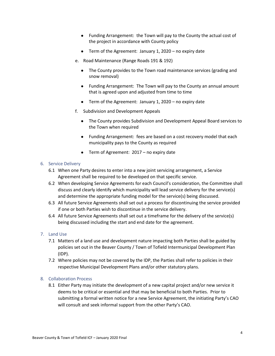- Funding Arrangement: the Town will pay to the County the actual cost of the project in accordance with County policy
- Term of the Agreement: January 1, 2020 no expiry date
- e. Road Maintenance (Range Roads 191 & 192)
	- The County provides to the Town road maintenance services (grading and snow removal)
	- Funding Arrangement: The Town will pay to the County an annual amount that is agreed upon and adjusted from time to time
	- Term of the Agreement: January 1, 2020 no expiry date
- f. Subdivision and Development Appeals
	- The County provides Subdivision and Development Appeal Board services to the Town when required
	- Funding Arrangement: fees are based on a cost recovery model that each municipality pays to the County as required
	- Term of Agreement: 2017 no expiry date

#### <span id="page-4-0"></span>6. Service Delivery

- 6.1 When one Party desires to enter into a new joint servicing arrangement, a Service Agreement shall be required to be developed on that specific service.
- 6.2 When developing Service Agreements for each Council's consideration, the Committee shall discuss and clearly identify which municipality will lead service delivery for the service(s) and determine the appropriate funding model for the service(s) being discussed.
- 6.3 All future Service Agreements shall set out a process for discontinuing the service provided if one or both Parties wish to discontinue in the service delivery.
- 6.4 All future Service Agreements shall set out a timeframe for the delivery of the service(s) being discussed including the start and end date for the agreement.

#### <span id="page-4-1"></span>7. Land Use

- 7.1 Matters of a land use and development nature impacting both Parties shall be guided by policies set out in the Beaver County / Town of Tofield Intermunicipal Development Plan (IDP).
- 7.2 Where policies may not be covered by the IDP, the Parties shall refer to policies in their respective Municipal Development Plans and/or other statutory plans.

#### <span id="page-4-2"></span>8. Collaboration Process

8.1 Either Party may initiate the development of a new capital project and/or new service it deems to be critical or essential and that may be beneficial to both Parties. Prior to submitting a formal written notice for a new Service Agreement, the initiating Party's CAO will consult and seek informal support from the other Party's CAO.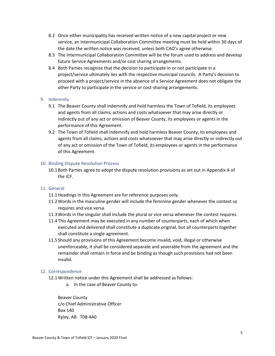- 8.2 Once either municipality has received written notice of a new capital project or new service, an Intermunicipal Collaboration Committee meeting must be held within 30 days of the date the written notice was received, unless both CAO's agree otherwise.
- 8.3 The Intermunicipal Collaboration Committee will be the forum used to address and develop future Service Agreements and/or cost sharing arrangements.
- 8.4 Both Parties recognize that the decision to participate in or not participate in a project/service ultimately lies with the respective municipal councils. A Party's decision to proceed with a project/service in the absence of a Service Agreement does not obligate the other Party to participate in the service or cost-sharing arrangements.

#### <span id="page-5-0"></span>9. Indemnity

- 9.1 The Beaver County shall indemnify and hold harmless the Town of Tofield, its employees and agents from all claims, actions and costs whatsoever that may arise directly or indirectly out of any act or omission of Beaver County, its employees or agents in the performance of this Agreement.
- 9.2 The Town of Tofield shall indemnify and hold harmless Beaver County, its employees and agents from all claims, actions and costs whatsoever that may arise directly or indirectly out of any act or omission of the Town of Tofield, its employees or agents in the performance of this Agreement.

#### <span id="page-5-1"></span>10. Binding Dispute Resolution Process

10.1Both Parties agree to adopt the dispute resolution provisions as set out in Appendix A of the ICF.

#### <span id="page-5-2"></span>11. General

- 11.1Headings in this Agreement are for reference purposes only.
- 11.2Words in the masculine gender will include the feminine gender whenever the context so requires and vice versa.
- 11.3Words in the singular shall include the plural or vice versa whenever the contest requires.
- 11.4This Agreement may be executed in any number of counterparts, each of which when executed and delivered shall constitute a duplicate original, but all counterparts together shall constitute a single agreement.
- 11.5Should any provisions of this Agreement become invalid, void, illegal or otherwise unenforceable, it shall be considered separate and severable from the agreement and the remainder shall remain in force and be binding as though such provisions had not been invalid.

#### <span id="page-5-3"></span>12. Correspondence

- 12.1Written notice under this Agreement shall be addressed as follows:
	- a. In the case of Beaver County to:

Beaver County c/o Chief Administrative Officer Box 140 Ryley, AB T0B 4A0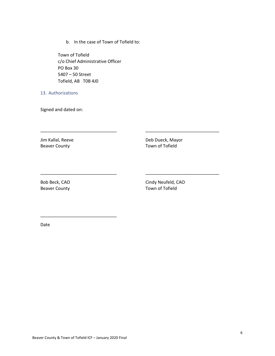b. In the case of Town of Tofield to:

Town of Tofield c/o Chief Administrative Officer PO Box 30 5407 – 50 Street Tofield, AB T0B 4J0

#### <span id="page-6-0"></span>13. Authorizations

Signed and dated on:

Beaver County **Town of Tofield** 

Jim Kallal, Reeve **Deb Dueck**, Mayor

\_\_\_\_\_\_\_\_\_\_\_\_\_\_\_\_\_\_\_\_\_\_\_\_\_\_\_\_\_\_\_ \_\_\_\_\_\_\_\_\_\_\_\_\_\_\_\_\_\_\_\_\_\_\_\_\_\_\_\_\_\_

\_\_\_\_\_\_\_\_\_\_\_\_\_\_\_\_\_\_\_\_\_\_\_\_\_\_\_\_\_\_\_ \_\_\_\_\_\_\_\_\_\_\_\_\_\_\_\_\_\_\_\_\_\_\_\_\_\_\_\_\_\_

Beaver County

Bob Beck, CAO Cindy Neufeld, CAO Cindy Neufeld, CAO Cindy Neufeld, CAO Cindy Neufeld, CAO Cindy Neufeld

Date

\_\_\_\_\_\_\_\_\_\_\_\_\_\_\_\_\_\_\_\_\_\_\_\_\_\_\_\_\_\_\_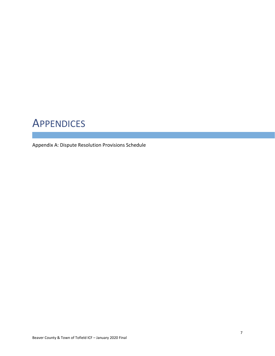## <span id="page-7-0"></span>**APPENDICES**

Appendix A: Dispute Resolution Provisions Schedule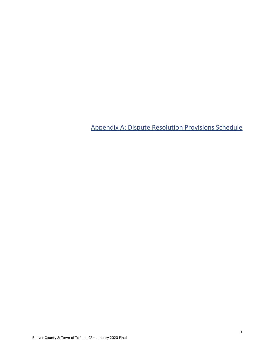<span id="page-8-0"></span>Appendix A: Dispute Resolution Provisions Schedule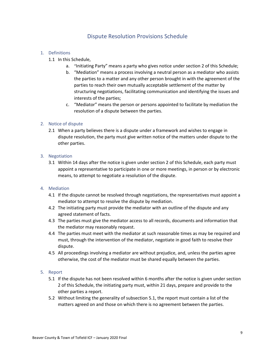### Dispute Resolution Provisions Schedule

#### 1. Definitions

- 1.1 In this Schedule,
	- a. "Initiating Party" means a party who gives notice under section 2 of this Schedule;
	- b. "Mediation" means a process involving a neutral person as a mediator who assists the parties to a matter and any other person brought in with the agreement of the parties to reach their own mutually acceptable settlement of the matter by structuring negotiations, facilitating communication and identifying the issues and interests of the parties;
	- c. "Mediator" means the person or persons appointed to facilitate by mediation the resolution of a dispute between the parties.

#### 2. Notice of dispute

2.1 When a party believes there is a dispute under a framework and wishes to engage in dispute resolution, the party must give written notice of the matters under dispute to the other parties.

#### 3. Negotiation

3.1 Within 14 days after the notice is given under section 2 of this Schedule, each party must appoint a representative to participate in one or more meetings, in person or by electronic means, to attempt to negotiate a resolution of the dispute.

#### 4. Mediation

- 4.1 If the dispute cannot be resolved through negotiations, the representatives must appoint a mediator to attempt to resolve the dispute by mediation.
- 4.2 The initiating party must provide the mediator with an outline of the dispute and any agreed statement of facts.
- 4.3 The parties must give the mediator access to all records, documents and information that the mediator may reasonably request.
- 4.4 The parties must meet with the mediator at such reasonable times as may be required and must, through the intervention of the mediator, negotiate in good faith to resolve their dispute.
- 4.5 All proceedings involving a mediator are without prejudice, and, unless the parties agree otherwise, the cost of the mediator must be shared equally between the parties.

#### 5. Report

- 5.1 If the dispute has not been resolved within 6 months after the notice is given under section 2 of this Schedule, the initiating party must, within 21 days, prepare and provide to the other parties a report.
- 5.2 Without limiting the generality of subsection 5.1, the report must contain a list of the matters agreed on and those on which there is no agreement between the parties.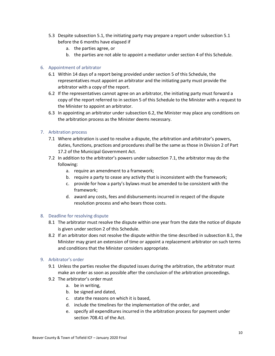- 5.3 Despite subsection 5.1, the initiating party may prepare a report under subsection 5.1 before the 6 months have elapsed if
	- a. the parties agree, or
	- b. the parties are not able to appoint a mediator under section 4 of this Schedule.

#### 6. Appointment of arbitrator

- 6.1 Within 14 days of a report being provided under section 5 of this Schedule, the representatives must appoint an arbitrator and the initiating party must provide the arbitrator with a copy of the report.
- 6.2 If the representatives cannot agree on an arbitrator, the initiating party must forward a copy of the report referred to in section 5 of this Schedule to the Minister with a request to the Minister to appoint an arbitrator.
- 6.3 In appointing an arbitrator under subsection 6.2, the Minister may place any conditions on the arbitration process as the Minister deems necessary.

#### 7. Arbitration process

- 7.1 Where arbitration is used to resolve a dispute, the arbitration and arbitrator's powers, duties, functions, practices and procedures shall be the same as those in Division 2 of Part 17.2 of the Municipal Government Act.
- 7.2 In addition to the arbitrator's powers under subsection 7.1, the arbitrator may do the following:
	- a. require an amendment to a framework;
	- b. require a party to cease any activity that is inconsistent with the framework;
	- c. provide for how a party's bylaws must be amended to be consistent with the framework;
	- d. award any costs, fees and disbursements incurred in respect of the dispute resolution process and who bears those costs.

#### 8. Deadline for resolving dispute

- 8.1 The arbitrator must resolve the dispute within one year from the date the notice of dispute is given under section 2 of this Schedule.
- 8.2 If an arbitrator does not resolve the dispute within the time described in subsection 8.1, the Minister may grant an extension of time or appoint a replacement arbitrator on such terms and conditions that the Minister considers appropriate.

#### 9. Arbitrator's order

- 9.1 Unless the parties resolve the disputed issues during the arbitration, the arbitrator must make an order as soon as possible after the conclusion of the arbitration proceedings.
- 9.2 The arbitrator's order must
	- a. be in writing,
	- b. be signed and dated,
	- c. state the reasons on which it is based,
	- d. include the timelines for the implementation of the order, and
	- e. specify all expenditures incurred in the arbitration process for payment under section 708.41 of the Act.